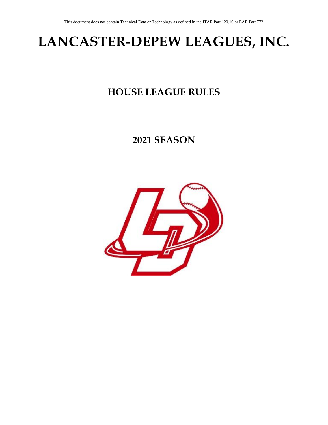# **LANCASTER-DEPEW LEAGUES, INC.**

### **HOUSE LEAGUE RULES**

### **2021 SEASON**

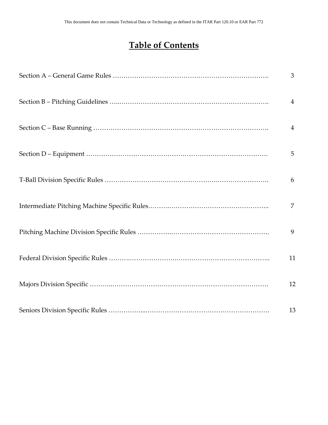### **Table of Contents**

|  | 3              |
|--|----------------|
|  | $\overline{4}$ |
|  | $\overline{4}$ |
|  | 5              |
|  | 6              |
|  | $\overline{7}$ |
|  | 9              |
|  | 11             |
|  | 12             |
|  | 13             |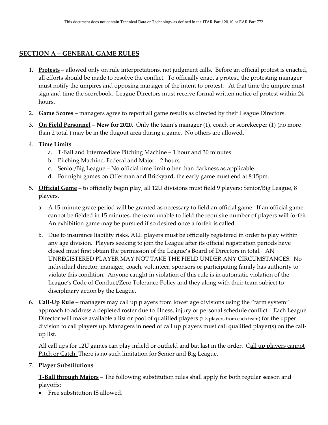#### **SECTION A – GENERAL GAME RULES**

- 1. **Protests** allowed only on rule interpretations, not judgment calls. Before an official protest is enacted, all efforts should be made to resolve the conflict. To officially enact a protest, the protesting manager must notify the umpires and opposing manager of the intent to protest. At that time the umpire must sign and time the scorebook. League Directors must receive formal written notice of protest within 24 hours.
- 2. **Game Scores** managers agree to report all game results as directed by their League Directors.
- 3. **On Field Personnel New for 2020**. Only the team's manager (1), coach or scorekeeper (1) (no more than 2 total ) may be in the dugout area during a game. No others are allowed.
- 4. **Time Limits**
	- a. T-Ball and Intermediate Pitching Machine 1 hour and 30 minutes
	- b. Pitching Machine, Federal and Major 2 hours
	- c. Senior/Big League No official time limit other than darkness as applicable.
	- d. For night games on Offerman and Brickyard, the early game must end at 8:15pm.
- 5. **Official Game** to officially begin play, all 12U divisions must field 9 players; Senior/Big League, 8 players.
	- a. A 15-minute grace period will be granted as necessary to field an official game. If an official game cannot be fielded in 15 minutes, the team unable to field the requisite number of players will forfeit. An exhibition game may be pursued if so desired once a forfeit is called.
	- b. Due to insurance liability risks, ALL players must be officially registered in order to play within any age division. Players seeking to join the League after its official registration periods have closed must first obtain the permission of the League's Board of Directors in total. AN UNREGISTERED PLAYER MAY NOT TAKE THE FIELD UNDER ANY CIRCUMSTANCES. No individual director, manager, coach, volunteer, sponsors or participating family has authority to violate this condition. Anyone caught in violation of this rule is in automatic violation of the League's Code of Conduct/Zero Tolerance Policy and they along with their team subject to disciplinary action by the League.
- 6. **Call-Up Rule** managers may call up players from lower age divisions using the "farm system" approach to address a depleted roster due to illness, injury or personal schedule conflict. Each League Director will make available a list or pool of qualified players (2-3 players from each team) for the upper division to call players up. Managers in need of call up players must call qualified player(s) on the callup list.

All call ups for 12U games can play infield or outfield and bat last in the order. Call up players cannot Pitch or Catch. There is no such limitation for Senior and Big League.

#### 7. **Player Substitutions**

**T-Ball through Majors** – The following substitution rules shall apply for both regular season and playoffs:

• Free substitution IS allowed.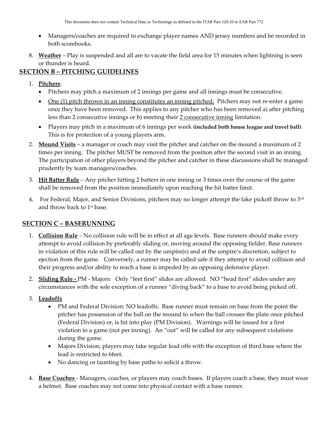- Managers/coaches are required to exchange player names AND jersey numbers and be recorded in both scorebooks.
- 8. **Weather** Play is suspended and all are to vacate the field area for 15 minutes when lightning is seen or thunder is heard.

### **SECTION B – PITCHING GUIDELINES**

- 1. **Pitchers**:
	- Pitchers may pitch a maximum of 2 innings per game and all innings must be consecutive.
	- One (1) pitch thrown in an inning constitutes an inning pitched. Pitchers may not re-enter a game once they have been removed. This applies to any pitcher who has been removed a) after pitching less than 2 consecutive innings or b) meeting their 2 consecutive inning limitation.
	- Players may pitch in a maximum of 6 innings per week **(included both house league and travel ball)**. This is for protection of a young players arm.
- 2. **Mound Visits** a manager or coach may visit the pitcher and catcher on the mound a maximum of 2 times per inning. The pitcher MUST be removed from the position after the second visit in an inning. The participation of other players beyond the pitcher and catcher in these discussions shall be managed prudently by team managers/coaches.
- 3. **Hit Batter Rule** Any pitcher hitting 2 batters in one inning or 3 times over the course of the game shall be removed from the position immediately upon reaching the hit batter limit.
- 4. For Federal, Major, and Senior Divisions, pitchers may no longer attempt the fake pickoff throw to 3rd and throw back to 1st base.

### **SECTION C – BASERUNNING**

- 1. **Collision Rule** No collision rule will be in effect at all age levels. Base runners should make every attempt to avoid collision by preferably sliding or, moving around the opposing fielder. Base runners in violation of this rule will be called out by the umpire(s) and at the umpire's discretion, subject to ejection from the game. Conversely, a runner may be called safe if they attempt to avoid collision and their progress and/or ability to reach a base is impeded by an opposing defensive player.
- 2. **Sliding Rule -** PM Majors: Only "feet first" slides are allowed. NO "head first" slides under any circumstances with the sole exception of a runner "diving back" to a base to avoid being picked off.
- 3. **Leadoffs**
	- PM and Federal Division: NO leadoffs. Base runner must remain on base from the point the pitcher has possession of the ball on the mound to when the ball crosses the plate once pitched (Federal Division) or, is hit into play (PM Division). Warnings will be issued for a first violation in a game (not per inning). An "out" will be called for any subsequent violations during the game.
	- Majors Division, players may take regular lead offs with the exception of third base where the lead is restricted to 6feet.
	- No dancing or taunting by base paths to solicit a throw.
- 4. **Base Coaches**  Managers, coaches, or players may coach bases. If players coach a base, they must wear a helmet. Base coaches may not come into physical contact with a base runner.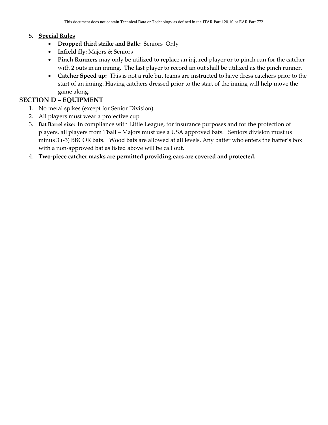#### 5. **Special Rules**

- **Dropped third strike and Balk:** SeniorsOnly
- **Infield fly:** Majors & Seniors
- **Pinch Runners** may only be utilized to replace an injured player or to pinch run for the catcher with 2 outs in an inning. The last player to record an out shall be utilized as the pinch runner.
- **Catcher Speed up:** This is not a rule but teams are instructed to have dress catchers prior to the start of an inning. Having catchers dressed prior to the start of the inning will help move the game along.

#### **SECTION D – EQUIPMENT**

- 1. No metal spikes (except for Senior Division)
- 2. All players must wear a protective cup
- 3. **Bat Barrel size:** In compliance with Little League, for insurance purposes and for the protection of players, all players from Tball – Majors must use a USA approved bats. Seniors division must us minus 3 (-3) BBCOR bats. Wood bats are allowed at all levels. Any batter who enters the batter's box with a non-approved bat as listed above will be call out.
- 4. **Two-piece catcher masks are permitted providing ears are covered and protected.**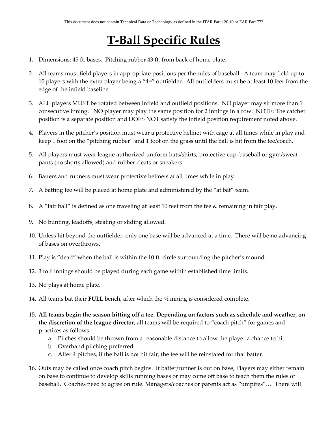## **T-Ball Specific Rules**

- 1. Dimensions: 45 ft. bases. Pitching rubber 43 ft. from back of home plate.
- 2. All teams must field players in appropriate positions per the rules of baseball. A team may field up to 10 players with the extra player being a "4th" outfielder. All outfielders must be at least 10 feet from the edge of the infield baseline.
- 3. ALL players MUST be rotated between infield and outfield positions. NO player may sit more than 1 consecutive inning. NO player may play the same position for 2 innings in a row. NOTE: The catcher position is a separate position and DOES NOT satisfy the infield position requirement noted above.
- 4. Players in the pitcher's position must wear a protective helmet with cage at all times while in play and keep 1 foot on the "pitching rubber" and 1 foot on the grass until the ball is hit from the tee/coach.
- 5. All players must wear league authorized uniform hats/shirts, protective cup, baseball or gym/sweat pants (no shorts allowed) and rubber cleats or sneakers.
- 6. Batters and runners must wear protective helmets at all times while in play.
- 7. A batting tee will be placed at home plate and administered by the "at bat" team.
- 8. A "fair ball" is defined as one traveling at least 10 feet from the tee & remaining in fair play.
- 9. No bunting, leadoffs, stealing or sliding allowed.
- 10. Unless hit beyond the outfielder, only one base will be advanced at a time. There will be no advancing of bases on overthrows.
- 11. Play is "dead" when the ball is within the 10 ft. circle surrounding the pitcher's mound.
- 12. 3 to 6 innings should be played during each game within established time limits.
- 13. No plays at home plate.
- 14. All teams bat their **FULL** bench, after which the ½ inning is considered complete.
- 15. **All teams begin the season hitting off a tee. Depending on factors such as schedule and weather, on the discretion of the league director**, all teams will be required to "coach pitch" for games and practices as follows:
	- a. Pitches should be thrown from a reasonable distance to allow the player a chance to hit.
	- b. Overhand pitching preferred.
	- c. After 4 pitches, if the ball is not hit fair, the tee will be reinstated for that batter.
- 16. Outs may be called once coach pitch begins. If batter/runner is out on base, Players may either remain on base to continue to develop skills running bases or may come off base to teach them the rules of baseball. Coaches need to agree on rule. Managers/coaches or parents act as "umpires"… There will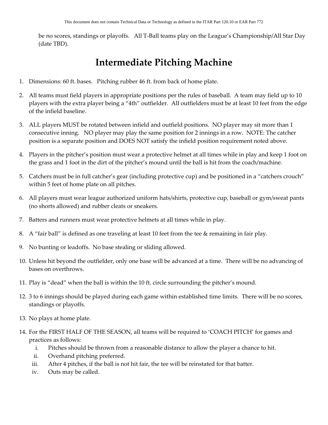be no scores, standings or playoffs. All T-Ball teams play on the League's Championship/All Star Day (date TBD).

### **Intermediate Pitching Machine**

- 1. Dimensions: 60 ft. bases. Pitching rubber 46 ft. from back of home plate.
- 2. All teams must field players in appropriate positions per the rules of baseball. A team may field up to 10 players with the extra player being a "4th" outfielder. All outfielders must be at least 10 feet from the edge of the infield baseline.
- 3. ALL players MUST be rotated between infield and outfield positions. NO player may sit more than 1 consecutive inning. NO player may play the same position for 2 innings in a row. NOTE: The catcher position is a separate position and DOES NOT satisfy the infield position requirement noted above.
- 4. Players in the pitcher's position must wear a protective helmet at all times while in play and keep 1 foot on the grass and 1 foot in the dirt of the pitcher's mound until the ball is hit from the coach/machine.
- 5. Catchers must be in full catcher's gear (including protective cup) and be positioned in a "catchers crouch" within 5 feet of home plate on all pitches.
- 6. All players must wear league authorized uniform hats/shirts, protective cup, baseball or gym/sweat pants (no shorts allowed) and rubber cleats or sneakers.
- 7. Batters and runners must wear protective helmets at all times while in play.
- 8. A "fair ball" is defined as one traveling at least 10 feet from the tee & remaining in fair play.
- 9. No bunting or leadoffs. No base stealing or sliding allowed.
- 10. Unless hit beyond the outfielder, only one base will be advanced at a time. There will be no advancing of bases on overthrows.
- 11. Play is "dead" when the ball is within the 10 ft. circle surrounding the pitcher's mound.
- 12. 3 to 6 innings should be played during each game within established time limits. There will be no scores, standings or playoffs.
- 13. No plays at home plate.
- 14. For the FIRST HALF OF THE SEASON, all teams will be required to 'COACH PITCH' for games and practices as follows:
	- i. Pitches should be thrown from a reasonable distance to allow the player a chance to hit.
	- ii. Overhand pitching preferred.
	- iii. After 4 pitches, if the ball is not hit fair, the tee will be reinstated for that batter.
	- iv. Outs may be called.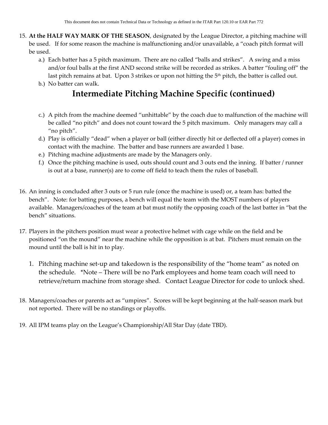- 15. **At the HALF WAY MARK OF THE SEASON**, designated by the League Director, a pitching machine will be used. If for some reason the machine is malfunctioning and/or unavailable, a "coach pitch format will be used.
	- a.) Each batter has a 5 pitch maximum. There are no called "balls and strikes". A swing and a miss and/or foul balls at the first AND second strike will be recorded as strikes. A batter "fouling off" the last pitch remains at bat. Upon 3 strikes or upon not hitting the 5<sup>th</sup> pitch, the batter is called out.
	- b.) No batter can walk.

### **Intermediate Pitching Machine Specific (continued)**

- c.) A pitch from the machine deemed "unhittable" by the coach due to malfunction of the machine will be called "no pitch" and does not count toward the 5 pitch maximum. Only managers may call a "no pitch".
- d.) Play is officially "dead" when a player or ball (either directly hit or deflected off a player) comes in contact with the machine. The batter and base runners are awarded 1 base.
- e.) Pitching machine adjustments are made by the Managers only.
- f.) Once the pitching machine is used, outs should count and 3 outs end the inning. If batter / runner is out at a base, runner(s) are to come off field to teach them the rules of baseball.
- 16. An inning is concluded after 3 outs or 5 run rule (once the machine is used) or, a team has: batted the bench". Note: for batting purposes, a bench will equal the team with the MOST numbers of players available. Managers/coaches of the team at bat must notify the opposing coach of the last batter in "bat the bench" situations.
- 17. Players in the pitchers position must wear a protective helmet with cage while on the field and be positioned "on the mound" near the machine while the opposition is at bat. Pitchers must remain on the mound until the ball is hit in to play.
	- 1. Pitching machine set-up and takedown is the responsibility of the "home team" as noted on the schedule. \*Note – There will be no Park employees and home team coach will need to retrieve/return machine from storage shed. Contact League Director for code to unlock shed.
- 18. Managers/coaches or parents act as "umpires". Scores will be kept beginning at the half-season mark but not reported. There will be no standings or playoffs.
- 19. All IPM teams play on the League's Championship/All Star Day (date TBD).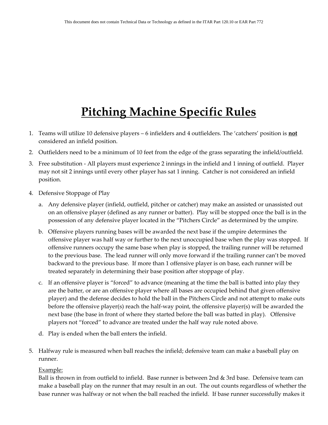## **Pitching Machine Specific Rules**

- 1. Teams will utilize 10 defensive players 6 infielders and 4 outfielders. The 'catchers' position is **not** considered an infield position.
- 2. Outfielders need to be a minimum of 10 feet from the edge of the grass separating the infield/outfield.
- 3. Free substitution All players must experience 2 innings in the infield and 1 inning of outfield. Player may not sit 2 innings until every other player has sat 1 inning. Catcher is not considered an infield position.
- 4. Defensive Stoppage of Play
	- a. Any defensive player (infield, outfield, pitcher or catcher) may make an assisted or unassisted out on an offensive player (defined as any runner or batter). Play will be stopped once the ball is in the possession of any defensive player located in the "Pitchers Circle" as determined by the umpire.
	- b. Offensive players running bases will be awarded the next base if the umpire determines the offensive player was half way or further to the next unoccupied base when the play was stopped. If offensive runners occupy the same base when play is stopped, the trailing runner will be returned to the previous base. The lead runner will only move forward if the trailing runner can't be moved backward to the previous base. If more than 1 offensive player is on base, each runner will be treated separately in determining their base position after stoppage of play.
	- c. If an offensive player is "forced" to advance (meaning at the time the ball is batted into play they are the batter, or are an offensive player where all bases are occupied behind that given offensive player) and the defense decides to hold the ball in the Pitchers Circle and not attempt to make outs before the offensive player(s) reach the half-way point, the offensive player(s) will be awarded the next base (the base in front of where they started before the ball was batted in play). Offensive players not "forced" to advance are treated under the half way rule noted above.
	- d. Play is ended when the ball enters the infield.
- 5. Halfway rule is measured when ball reaches the infield; defensive team can make a baseball play on runner.

#### Example:

Ball is thrown in from outfield to infield. Base runner is between 2nd & 3rd base. Defensive team can make a baseball play on the runner that may result in an out. The out counts regardless of whether the base runner was halfway or not when the ball reached the infield. If base runner successfully makes it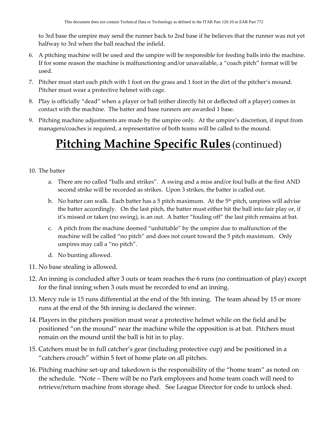to 3rd base the umpire may send the runner back to 2nd base if he believes that the runner was not yet halfway to 3rd when the ball reached the infield.

- 6. A pitching machine will be used and the umpire will be responsible for feeding balls into the machine. If for some reason the machine is malfunctioning and/or unavailable, a "coach pitch" format will be used.
- 7. Pitcher must start each pitch with 1 foot on the grass and 1 foot in the dirt of the pitcher's mound. Pitcher must wear a protective helmet with cage.
- 8. Play is officially "dead" when a player or ball (either directly hit or deflected off a player) comes in contact with the machine. The batter and base runners are awarded 1 base.
- 9. Pitching machine adjustments are made by the umpire only. At the umpire's discretion, if input from managers/coaches is required, a representative of both teams will be called to the mound.

## **Pitching Machine Specific Rules** (continued)

#### 10. The batter

- a. There are no called "balls and strikes". A swing and a miss and/or foul balls at the first AND second strike will be recorded as strikes. Upon 3 strikes, the batter is called out.
- b. No batter can walk. Each batter has a 5 pitch maximum. At the  $5<sup>th</sup>$  pitch, umpires will advise the batter accordingly. On the last pitch, the batter must either hit the ball into fair play or, if it's missed or taken (no swing), is an out. A batter "fouling off" the last pitch remains at bat.
- c. A pitch from the machine deemed "unhittable" by the umpire due to malfunction of the machine will be called "no pitch" and does not count toward the 5 pitch maximum. Only umpires may call a "no pitch".
- d. No bunting allowed.
- 11. No base stealing is allowed.
- 12. An inning is concluded after 3 outs or team reaches the 6 runs (no continuation of play) except for the final inning when 3 outs must be recorded to end an inning.
- 13. Mercy rule is 15 runs differential at the end of the 5th inning. The team ahead by 15 or more runs at the end of the 5th inning is declared the winner.
- 14. Players in the pitchers position must wear a protective helmet while on the field and be positioned "on the mound" near the machine while the opposition is at bat. Pitchers must remain on the mound until the ball is hit in to play.
- 15. Catchers must be in full catcher's gear (including protective cup) and be positioned in a "catchers crouch" within 5 feet of home plate on all pitches.
- 16. Pitching machine set-up and takedown is the responsibility of the "home team" as noted on the schedule. \*Note – There will be no Park employees and home team coach will need to retrieve/return machine from storage shed. See League Director for code to unlock shed.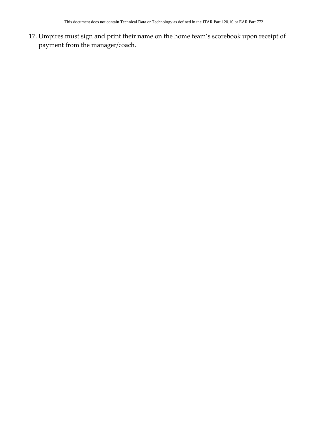17. Umpires must sign and print their name on the home team's scorebook upon receipt of payment from the manager/coach.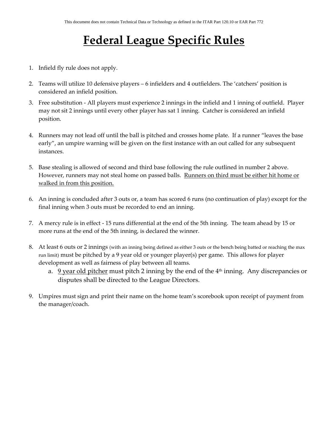## **Federal League Specific Rules**

- 1. Infield fly rule does not apply.
- 2. Teams will utilize 10 defensive players 6 infielders and 4 outfielders. The 'catchers' position is considered an infield position.
- 3. Free substitution All players must experience 2 innings in the infield and 1 inning of outfield. Player may not sit 2 innings until every other player has sat 1 inning. Catcher is considered an infield position.
- 4. Runners may not lead off until the ball is pitched and crosses home plate. If a runner "leaves the base early", an umpire warning will be given on the first instance with an out called for any subsequent instances.
- 5. Base stealing is allowed of second and third base following the rule outlined in number 2 above. However, runners may not steal home on passed balls. Runners on third must be either hit home or walked in from this position.
- 6. An inning is concluded after 3 outs or, a team has scored 6 runs (no continuation of play) except for the final inning when 3 outs must be recorded to end an inning.
- 7. A mercy rule is in effect 15 runs differential at the end of the 5th inning. The team ahead by 15 or more runs at the end of the 5th inning, is declared the winner.
- 8. At least 6 outs or 2 innings (with an inning being defined as either 3 outs or the bench being batted or reaching the max run limit) must be pitched by a 9 year old or younger player(s) per game. This allows for player development as well as fairness of play between all teams.
	- a.  $9$  year old pitcher must pitch 2 inning by the end of the  $4<sup>th</sup>$  inning. Any discrepancies or disputes shall be directed to the League Directors.
- 9. Umpires must sign and print their name on the home team's scorebook upon receipt of payment from the manager/coach.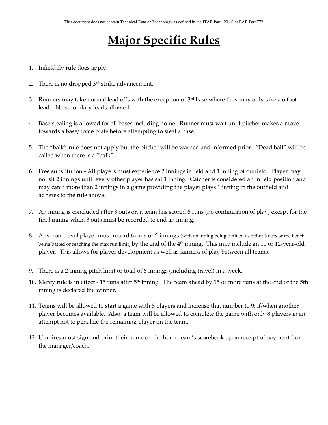## **Major Specific Rules**

- 1. Infield fly rule does apply.
- 2. There is no dropped 3rd strike advancement.
- 3. Runners may take normal lead offs with the exception of  $3<sup>rd</sup>$  base where they may only take a 6 foot lead. No secondary leads allowed.
- 4. Base stealing is allowed for all bases including home. Runner must wait until pitcher makes a move towards a base/home plate before attempting to steal a base.
- 5. The "balk" rule does not apply but the pitcher will be warned and informed prior. "Dead ball" will be called when there is a "balk".
- 6. Free substitution All players must experience 2 innings infield and 1 inning of outfield. Player may not sit 2 innings until every other player has sat 1 inning. Catcher is considered an infield position and may catch more than 2 innings in a game providing the player plays 1 inning in the outfield and adheres to the rule above.
- 7. An inning is concluded after 3 outs or, a team has scored 6 runs (no continuation of play) except for the final inning when 3 outs must be recorded to end an inning.
- 8. Any non-travel player must record 6 outs or 2 innings (with an inning being defined as either 3 outs or the bench being batted or reaching the max run limit) by the end of the 4<sup>th</sup> inning. This may include an 11 or 12-year-old player. This allows for player development as well as fairness of play between all teams.
- 9. There is a 2-inning pitch limit or total of 6 innings (including travel) in a week.
- 10. Mercy rule is in effect 15 runs after 5<sup>th</sup> inning. The team ahead by 15 or more runs at the end of the 5th inning is declared the winner.
- 11. Teams will be allowed to start a game with 8 players and increase that number to 9; if/when another player becomes available. Also, a team will be allowed to complete the game with only 8 players in an attempt not to penalize the remaining player on the team.
- 12. Umpires must sign and print their name on the home team's scorebook upon receipt of payment from the manager/coach.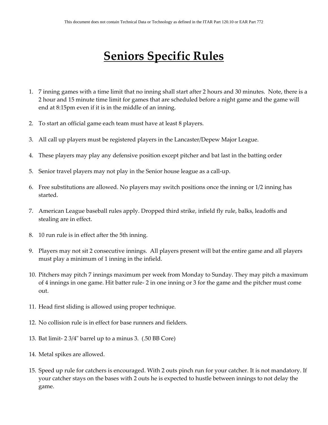### **Seniors Specific Rules**

- 1. 7 inning games with a time limit that no inning shall start after 2 hours and 30 minutes. Note, there is a 2 hour and 15 minute time limit for games that are scheduled before a night game and the game will end at 8:15pm even if it is in the middle of an inning.
- 2. To start an official game each team must have at least 8 players.
- 3. All call up players must be registered players in the Lancaster/Depew Major League.
- 4. These players may play any defensive position except pitcher and bat last in the batting order
- 5. Senior travel players may not play in the Senior house league as a call-up.
- 6. Free substitutions are allowed. No players may switch positions once the inning or 1/2 inning has started.
- 7. American League baseball rules apply. Dropped third strike, infield fly rule, balks, leadoffs and stealing are in effect.
- 8. 10 run rule is in effect after the 5th inning.
- 9. Players may not sit 2 consecutive innings. All players present will bat the entire game and all players must play a minimum of 1 inning in the infield.
- 10. Pitchers may pitch 7 innings maximum per week from Monday to Sunday. They may pitch a maximum of 4 innings in one game. Hit batter rule- 2 in one inning or 3 for the game and the pitcher must come out.
- 11. Head first sliding is allowed using proper technique.
- 12. No collision rule is in effect for base runners and fielders.
- 13. Bat limit- 2 3/4" barrel up to a minus 3. (.50 BB Core)
- 14. Metal spikes are allowed.
- 15. Speed up rule for catchers is encouraged. With 2 outs pinch run for your catcher. It is not mandatory. If your catcher stays on the bases with 2 outs he is expected to hustle between innings to not delay the game.